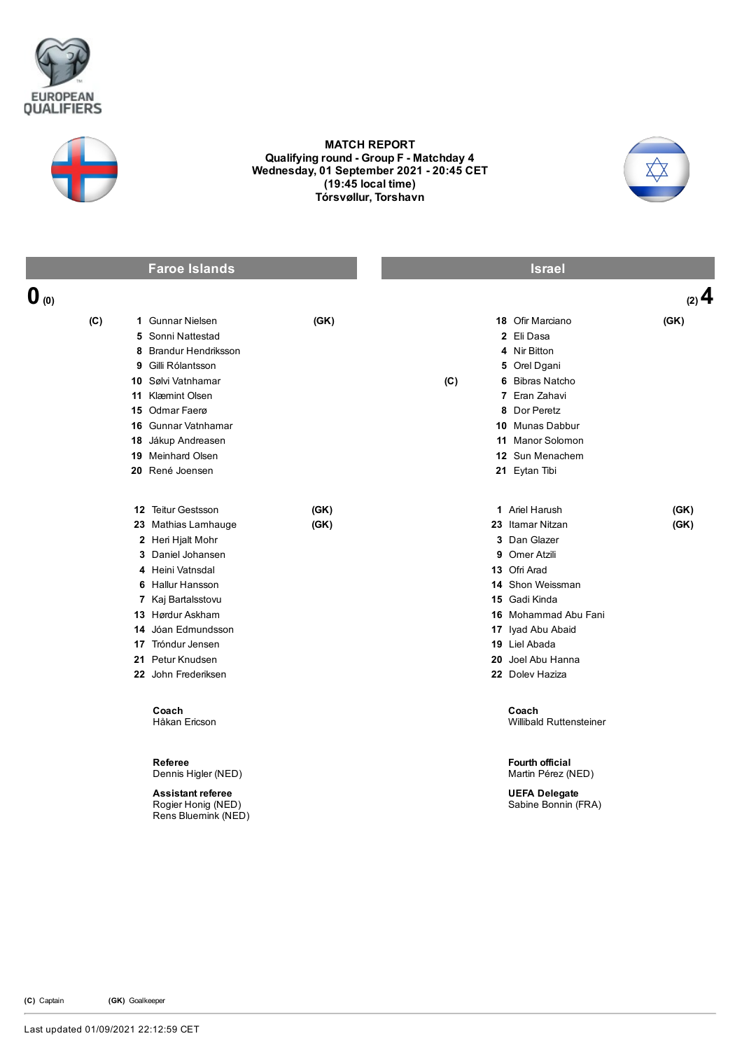



## MATCH REPORT Qualifying round - Group F - Matchday 4 Wednesday, 01 September 2021 20:45 CET (19:45 local time) Tórsvøllur, Torshavn



|                  | <b>Faroe Islands</b>                                                                                                                                                                                                                                                                  |              |     | <b>Israel</b>                                                                                                                                                                                                                                                             |              |
|------------------|---------------------------------------------------------------------------------------------------------------------------------------------------------------------------------------------------------------------------------------------------------------------------------------|--------------|-----|---------------------------------------------------------------------------------------------------------------------------------------------------------------------------------------------------------------------------------------------------------------------------|--------------|
| $\mathbf{0}$ (0) |                                                                                                                                                                                                                                                                                       |              |     |                                                                                                                                                                                                                                                                           | (2) 4        |
| (C)              | 1 Gunnar Nielsen<br>5 Sonni Nattestad<br>8 Brandur Hendriksson<br>9 Gilli Rólantsson<br>10 Sølvi Vatnhamar<br>11 Klæmint Olsen<br>15 Odmar Faerø<br>16 Gunnar Vatnhamar<br>18 Jákup Andreasen<br><b>19</b> Meinhard Olsen<br>20 René Joensen                                          | (GK)         | (C) | 18 Ofir Marciano<br>2 Eli Dasa<br>4 Nir Bitton<br>5 Orel Dgani<br>6 Bibras Natcho<br>7 Eran Zahavi<br>8 Dor Peretz<br>10 Munas Dabbur<br>11 Manor Solomon<br>12 Sun Menachem<br>21 Eytan Tibi                                                                             | (GK)         |
|                  | 12 Teitur Gestsson<br>23 Mathias Lamhauge<br>2 Heri Hjalt Mohr<br>3 Daniel Johansen<br>4 Heini Vatnsdal<br>6 Hallur Hansson<br>7 Kaj Bartalsstovu<br>13 Hørdur Askham<br>14 Jóan Edmundsson<br>17 Tróndur Jensen<br>21 Petur Knudsen<br>22 John Frederiksen<br>Coach<br>Håkan Ericson | (GK)<br>(GK) |     | 1 Ariel Harush<br>23 Itamar Nitzan<br>3 Dan Glazer<br>9 Omer Atzili<br>13 Ofri Arad<br>14 Shon Weissman<br>15 Gadi Kinda<br>16 Mohammad Abu Fani<br>17 Iyad Abu Abaid<br>19 Liel Abada<br>20 Joel Abu Hanna<br>22 Dolev Haziza<br>Coach<br><b>Willibald Ruttensteiner</b> | (GK)<br>(GK) |
|                  | Referee<br>Dennis Higler (NED)<br><b>Assistant referee</b><br>Rogier Honig (NED)<br>Rens Bluemink (NED)                                                                                                                                                                               |              |     | Fourth official<br>Martin Pérez (NED)<br><b>UEFA Delegate</b><br>Sabine Bonnin (FRA)                                                                                                                                                                                      |              |

(C) Captain (GK) Goalkeeper